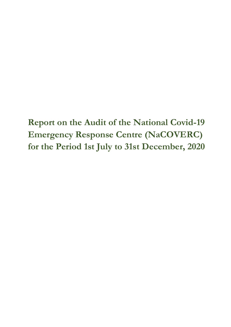**Report on the Audit of the National Covid-19 Emergency Response Centre (NaCOVERC) for the Period 1st July to 31st December, 2020**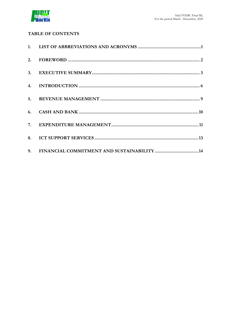

# **TABLE OF CONTENTS**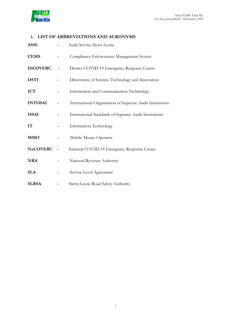

# <span id="page-2-0"></span>**1. LIST OF ABBREVIATIONS AND ACRONYMS**

| <b>ASSL</b>     |            | Audit Service Sierra Leone                               |  |
|-----------------|------------|----------------------------------------------------------|--|
| <b>CEMS</b>     |            | Compliance Enforcement Management System                 |  |
| <b>DiCOVERC</b> |            | District COVID-19 Emergency Response Centre              |  |
| <b>DSTI</b>     |            | Directorate of Science, Technology and Innovation        |  |
| <b>ICT</b>      |            | Information and Communication Technology                 |  |
| <b>INTOSAI</b>  |            | International Organisation of Supreme Audit Institutions |  |
| <b>ISSAI</b>    |            | International Standards of Supreme Audit Institutions    |  |
| IT              |            | Information Technology                                   |  |
| <b>MMO</b>      |            | Mobile Money Operator                                    |  |
| <b>NaCOVERC</b> | $\sim$ $-$ | National COVID-19 Emergency Response Centre              |  |
| <b>NRA</b>      |            | National Revenue Authority                               |  |
| <b>SLA</b>      |            | Service Level Agreement                                  |  |
| <b>SLRSA</b>    |            | Sierra Leone Road Safety Authority                       |  |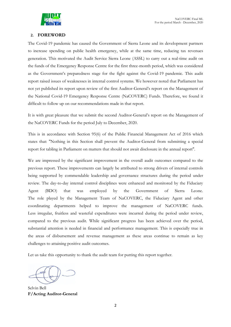# <span id="page-3-0"></span>**2. FOREWORD**

The Covid-19 pandemic has caused the Government of Sierra Leone and its development partners to increase spending on public health emergency, while at the same time, reducing tax revenues generation. This motivated the Audit Service Sierra Leone (ASSL) to carry out a real-time audit on the funds of the Emergency Response Centre for the first three-month period, which was considered as the Government's preparedness stage for the fight against the Covid-19 pandemic. This audit report raised issues of weaknesses in internal control systems. We however noted that Parliament has not yet published its report upon review of the first Auditor-General's report on the Management of the National Covid-19 Emergency Response Centre (NaCOVERC) Funds. Therefore, we found it difficult to follow up on our recommendations made in that report.

It is with great pleasure that we submit the second Auditor-General's report on the Management of the NaCOVERC Funds for the period July to December, 2020.

This is in accordance with Section 95(6) of the Public Financial Management Act of 2016 which states that: ″Nothing in this Section shall prevent the Auditor-General from submitting a special report for tabling in Parliament on matters that should not await disclosure in the annual report″.

We are impressed by the significant improvement in the overall audit outcomes compared to the previous report. These improvements can largely be attributed to strong drivers of internal controls being supported by commendable leadership and governance structures during the period under review. The day-to-day internal control disciplines were enhanced and monitored by the Fiduciary Agent (BDO) that was employed by the Government of Sierra Leone. The role played by the Management Team of NaCOVERC, the Fiduciary Agent and other coordinating departments helped to improve the management of NaCOVERC funds. Less irregular, fruitless and wasteful expenditures were incurred during the period under review, compared to the previous audit. While significant progress has been achieved over the period, substantial attention is needed in financial and performance management. This is especially true in the areas of disbursement and revenue management as these areas continue to remain as key challenges to attaining positive audit outcomes.

Let us take this opportunity to thank the audit team for putting this report together.

Selvin Bell **F/Acting Auditor-General**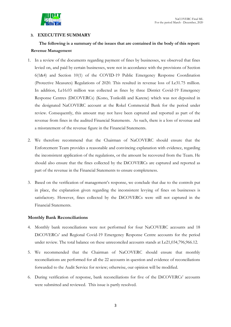

## <span id="page-4-0"></span>**3. EXECUTIVE SUMMARY**

# **The following is a summary of the issues that are contained in the body of this report: Revenue Management**

- 1. In a review of the documents regarding payment of fines by businesses, we observed that fines levied on, and paid by certain businesses, were not in accordance with the provisions of Section 6(1&4) and Section 10(1) of the COVID-19 Public Emergency Response Coordination (Protective Measures) Regulations of 2020. This resulted in revenue loss of Le31.75 million. In addition, Le16.03 million was collected as fines by three District Covid-19 Emergency Response Centres (DiCOVERCs) (Kono, Tonkolili and Karene) which was not deposited in the designated NaCOVERC account at the Rokel Commercial Bank for the period under review. Consequently, this amount may not have been captured and reported as part of the revenue from fines in the audited Financial Statements. As such, there is a loss of revenue and a misstatement of the revenue figure in the Financial Statements.
- 2. We therefore recommend that the Chairman of NaCOVERC should ensure that the Enforcement Team provides a reasonable and convincing explanation with evidence, regarding the inconsistent application of the regulations, or the amount be recovered from the Team. He should also ensure that the fines collected by the DiCOVERCs are captured and reported as part of the revenue in the Financial Statements to ensure completeness.
- 3. Based on the verification of management's response, we conclude that due to the controls put in place, the explanation given regarding the inconsistent levying of fines on businesses is satisfactory. However, fines collected by the DiCOVERCs were still not captured in the Financial Statements.

## **Monthly Bank Reconciliations**

- 4. Monthly bank reconciliations were not performed for four NaCOVERC accounts and 18 DiCOVERCs' and Regional Covid-19 Emergency Response Centre accounts for the period under review. The total balance on these unreconciled accounts stands at Le21,034,796,966.12.
- 5. We recommended that the Chairman of NaCOVERC should ensure that monthly reconciliations are performed for all the 22 accounts in question and evidence of reconciliations forwarded to the Audit Service for review; otherwise, our opinion will be modified.
- 6. During verification of response, bank reconciliations for five of the DiCOVERCs' accounts were submitted and reviewed. This issue is partly resolved.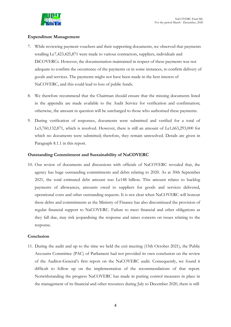

# **Expenditure Management**

- 7. While reviewing payment vouchers and their supporting documents, we observed that payments totalling Le7,423,425,871 were made to various contractors, suppliers, individuals and DiCOVERCs. However, the documentation maintained in respect of these payments was not adequate to confirm the occurrence of the payments or in some instances, to confirm delivery of goods and services. The payments might not have been made in the best interest of NaCOVERC, and this could lead to loss of public funds.
- 8. We therefore recommend that the Chairman should ensure that the missing documents listed in the appendix are made available to the Audit Service for verification and confirmation; otherwise, the amount in question will be surcharged to those who authorised these payments.
- 9. During verification of responses, documents were submitted and verified for a total of Le5,760,132,871, which is resolved. However, there is still an amount of Le1,663,293,000 for which no documents were submitted; therefore, they remain unresolved. Details are given in Paragraph 8.1.1 in this report.

## **Outstanding Commitment and Sustainability of NaCOVERC**

10. Our review of documents and discussions with officials of NaCOVERC revealed that, the agency has huge outstanding commitments and debts relating to 2020. As at 30th September 2021, the total estimated debt amount was Le148 billion. This amount relates to backlog payments of allowances, amounts owed to suppliers for goods and services delivered, operational costs and other outstanding requests. It is not clear when NaCOVERC will honour these debts and commitments as the Ministry of Finance has also discontinued the provision of regular financial support to NaCOVERC. Failure to meet financial and other obligations as they fall due, may risk jeopardising the response and raises concern on issues relating to the response.

## **Conclusion**

11. During the audit and up to the time we held the exit meeting (15th October 2021), the Public Accounts Committee (PAC) of Parliament had not provided its own conclusion on the review of the Auditor-General's first report on the NaCOVERC audit. Consequently, we found it difficult to follow up on the implementation of the recommendations of that report. Notwithstanding the progress NaCOVERC has made in putting control measures in place in the management of its financial and other resources during July to December 2020, there is still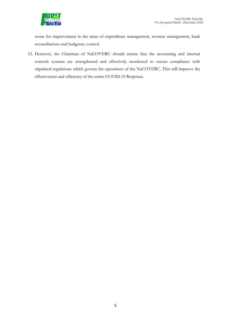

room for improvement in the areas of expenditure management, revenue management, bank reconciliations and budgetary control.

12. However, the Chairman of NaCOVERC should ensure that the accounting and internal controls systems are strengthened and effectively monitored to ensure compliance with stipulated regulations which govern the operations of the NaCOVERC. This will improve the effectiveness and efficiency of the entire COVID-19 Response.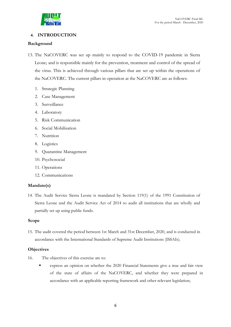

# <span id="page-7-0"></span>**4. INTRODUCTION**

## **Background**

- 13. The NaCOVERC was set up mainly to respond to the COVID-19 pandemic in Sierra Leone; and is responsible mainly for the prevention, treatment and control of the spread of the virus. This is achieved through various pillars that are set up within the operations of the NaCOVERC. The current pillars in operation at the NaCOVERC are as follows:
	- 1. Strategic Planning
	- 2. Case Management
	- 3. Surveillance
	- 4. Laboratory
	- 5. Risk Communication
	- 6. Social Mobilisation
	- 7. Nutrition
	- 8. Logistics
	- 9. Quarantine Management
	- 10. Psychosocial
	- 11. Operations
	- 12. Communications

# **Mandate(s)**

14. The Audit Service Sierra Leone is mandated by Section 119(1) of the 1991 Constitution of Sierra Leone and the Audit Service Act of 2014 to audit all institutions that are wholly and partially set up using public funds.

## **Scope**

15. The audit covered the period between 1st March and 31st December, 2020, and is conducted in accordance with the International Standards of Supreme Audit Institutions (ISSAIs).

## **Objectives**

- 16. The objectives of this exercise are to:
	- express an opinion on whether the 2020 Financial Statements give a true and fair view of the state of affairs of the NaCOVERC, and whether they were prepared in accordance with an applicable reporting framework and other relevant legislation;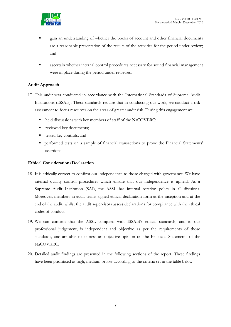

- gain an understanding of whether the books of account and other financial documents are a reasonable presentation of the results of the activities for the period under review; and
- ascertain whether internal control procedures necessary for sound financial management were in place during the period under reviewed.

# **Audit Approach**

- 17. This audit was conducted in accordance with the International Standards of Supreme Audit Institutions (ISSAIs). These standards require that in conducting our work, we conduct a risk assessment to focus resources on the areas of greater audit risk. During this engagement we:
	- held discussions with key members of staff of the NaCOVERC;
	- reviewed key documents;
	- tested key controls; and
	- performed tests on a sample of financial transactions to prove the Financial Statements' assertions.

## **Ethical Consideration/Declaration**

- 18. It is ethically correct to confirm our independence to those charged with governance. We have internal quality control procedures which ensure that our independence is upheld. As a Supreme Audit Institution (SAI), the ASSL has internal rotation policy in all divisions. Moreover, members in audit teams signed ethical declaration form at the inception and at the end of the audit, whilst the audit supervisors assess declarations for compliance with the ethical codes of conduct.
- 19. We can confirm that the ASSL complied with ISSAIS's ethical standards, and in our professional judgement, is independent and objective as per the requirements of those standards, and are able to express an objective opinion on the Financial Statements of the NaCOVERC.
- 20. Detailed audit findings are presented in the following sections of the report. These findings have been prioritised as high, medium or low according to the criteria set in the table below: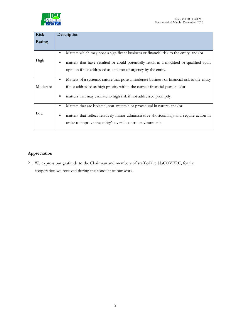

| <b>Risk</b> | Description                                                                                                                                                |  |  |
|-------------|------------------------------------------------------------------------------------------------------------------------------------------------------------|--|--|
| Rating      |                                                                                                                                                            |  |  |
|             |                                                                                                                                                            |  |  |
|             | Matters which may pose a significant business or financial risk to the entity; and/or<br>٠                                                                 |  |  |
| High        | matters that have resulted or could potentially result in a modified or qualified audit                                                                    |  |  |
|             | opinion if not addressed as a matter of urgency by the entity.                                                                                             |  |  |
|             | Matters of a systemic nature that pose a moderate business or financial risk to the entity<br>٠                                                            |  |  |
| Moderate    | if not addressed as high priority within the current financial year; and/or                                                                                |  |  |
|             | matters that may escalate to high risk if not addressed promptly.<br>٠                                                                                     |  |  |
|             | Matters that are isolated, non-systemic or procedural in nature; and/or<br>٠                                                                               |  |  |
| Low         | matters that reflect relatively minor administrative shortcomings and require action in<br>п<br>order to improve the entity's overall control environment. |  |  |
|             |                                                                                                                                                            |  |  |

# **Appreciation**

21. We express our gratitude to the Chairman and members of staff of the NaCOVERC, for the cooperation we received during the conduct of our work.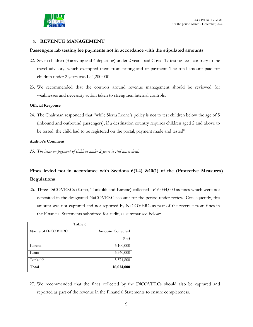

## **5. REVENUE MANAGEMENT**

#### <span id="page-10-0"></span>**Passengers lab testing fee payments not in accordance with the stipulated amounts**

- 22. Seven children (3 arriving and 4 departing) under 2 years paid Covid-19 testing fees, contrary to the travel advisory, which exempted them from testing and or payment. The total amount paid for children under 2 years was Le4,200,000.
- 23. We recommended that the controls around revenue management should be reviewed for weaknesses and necessary action taken to strengthen internal controls.

#### **Official Response**

24. The Chairman responded that "while Sierra Leone's policy is not to test children below the age of 5 (inbound and outbound passengers), if a destination country requires children aged 2 and above to be tested, the child had to be registered on the portal, payment made and tested".

#### **Auditor's Comment**

*25. The issue on payment of children under 2 years is still unresolved.*

# **Fines levied not in accordance with Sections 6(1,4) &10(1) of the (Protective Measures) Regulations**

26. Three DiCOVERCs (Kono, Tonkolili and Karene) collected Le16,034,000 as fines which were not deposited in the designated NaCOVERC account for the period under review. Consequently, this amount was not captured and not reported by NaCOVERC as part of the revenue from fines in the Financial Statements submitted for audit, as summarised below:

| Table 6          |                         |  |  |
|------------------|-------------------------|--|--|
| Name of DiCOVERC | <b>Amount Collected</b> |  |  |
|                  | (Le)                    |  |  |
| Karene           | 5,100,000               |  |  |
| Kono             | 5,360,000               |  |  |
| Tonkolili        | 5,574,800               |  |  |
| Total            | 16,034,000              |  |  |

27. We recommended that the fines collected by the DiCOVERCs should also be captured and reported as part of the revenue in the Financial Statements to ensure completeness.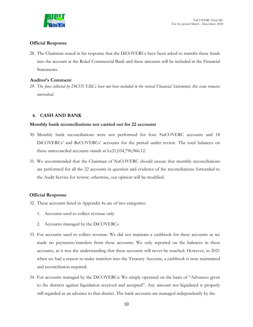

## **Official Response**

28. The Chairman stated in his response that the DiCOVERCs have been asked to transfer these funds into the account at the Rokel Commercial Bank and these amounts will be included in the Financial Statements.

## **Auditor's Comment**

*29. The fines collected by DiCOVERCs have not been included in the revised Financial Statements; this issue remains unresolved.*

## **6. CASH AND BANK**

#### **Monthly bank reconciliations not carried out for 22 accounts**

- <span id="page-11-0"></span>30. Monthly bank reconciliations were not performed for four NaCOVERC accounts and 18 DiCOVERCs' and ReCOVERCs' accounts for the period under review. The total balances on these unreconciled accounts stands at Le21,034,796,966.12.
- 31. We recommended that the Chairman of NaCOVERC should ensure that monthly reconciliations are performed for all the 22 accounts in question and evidence of the reconciliations forwarded to the Audit Service for review; otherwise, our opinion will be modified.

#### **Official Response**

- 32. These accounts listed in Appendix 4a are of two categories:
	- 1. Accounts used to collect revenue only
	- 2. Accounts managed by the DiCOVERCs
- 33. For accounts used to collect revenue: We did not maintain a cashbook for these accounts as we made no payments/transfers from these accounts. We only reported on the balances in these accounts, as it was the understanding that these accounts will never be touched. However, in 2021 when we had a reason to make transfers into the Treasury Account, a cashbook is now maintained and reconciliation required.
- 34. For accounts managed by the DiCOVERCs: We simply operated on the basis of "Advances given to the districts against liquidation received and accepted". Any amount not liquidated is properly still regarded as an advance to that district. The bank accounts are managed independently by the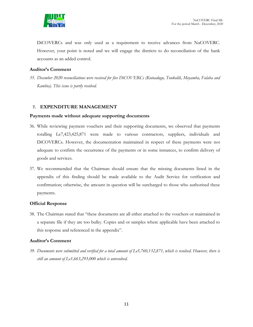

DiCOVERCs and was only used as a requirement to receive advances from NaCOVERC. However, your point is noted and we will engage the districts to do reconciliation of the bank accounts as an added control.

## **Auditor's Comment**

*35. December 2020 reconciliations were received for five DiCOVERCs (Koinadugu, Tonkolili, Moyamba, Falaba and Kambia). This issue is partly resolved.*

## **7. EXPENDITURE MANAGEMENT**

## **Payments made without adequate supporting documents**

- <span id="page-12-0"></span>36. While reviewing payment vouchers and their supporting documents, we observed that payments totalling Le7,423,425,871 were made to various contractors, suppliers, individuals and DiCOVERCs. However, the documentation maintained in respect of these payments were not adequate to confirm the occurrence of the payments or in some instances, to confirm delivery of goods and services.
- 37. We recommended that the Chairman should ensure that the missing documents listed in the appendix of this finding should be made available to the Audit Service for verification and confirmation; otherwise, the amount in question will be surcharged to those who authorised these payments.

## **Official Response**

38. The Chairman stated that "these documents are all either attached to the vouchers or maintained in a separate file if they are too bulky. Copies and or samples where applicable have been attached to this response and referenced in the appendix".

## **Auditor's Comment**

*39. Documents were submitted and verified for a total amount of Le5,760,132,871, which is resolved. However, there is still an amount of Le1,663,293,000 which is unresolved.*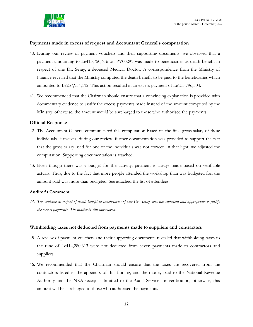

## **Payments made in excess of request and Accountant General's computation**

- 40. During our review of payment vouchers and their supporting documents, we observed that a payment amounting to Le413,750,616 on PV00291 was made to beneficiaries as death benefit in respect of one Dr. Sesay, a deceased Medical Doctor. A correspondence from the Ministry of Finance revealed that the Ministry computed the death benefit to be paid to the beneficiaries which amounted to Le257,954,112. This action resulted in an excess payment of Le155,796,504.
- 41. We recommended that the Chairman should ensure that a convincing explanation is provided with documentary evidence to justify the excess payments made instead of the amount computed by the Ministry; otherwise, the amount would be surcharged to those who authorised the payments.

## **Official Response**

- 42. The Accountant General communicated this computation based on the final gross salary of these individuals. However, during our review, further documentation was provided to support the fact that the gross salary used for one of the individuals was not correct. In that light, we adjusted the computation. Supporting documentation is attached.
- 43. Even though there was a budget for the activity, payment is always made based on verifiable actuals. Thus, due to the fact that more people attended the workshop than was budgeted for, the amount paid was more than budgeted. See attached the list of attendees.

## **Auditor's Comment**

*44. The evidence in respect of death benefit to beneficiaries of late Dr. Sesay, was not sufficient and appropriate to justify the excess payments. The matter is still unresolved.*

## **Withholding taxes not deducted from payments made to suppliers and contractors**

- 45. A review of payment vouchers and their supporting documents revealed that withholding taxes to the tune of Le414,280,613 were not deducted from seven payments made to contractors and suppliers.
- 46. We recommended that the Chairman should ensure that the taxes are recovered from the contractors listed in the appendix of this finding, and the money paid to the National Revenue Authority and the NRA receipt submitted to the Audit Service for verification; otherwise, this amount will be surcharged to those who authorised the payments.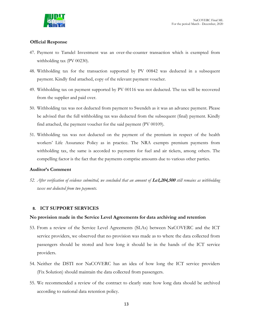

## **Official Response**

- 47. Payment to Tamdel Investment was an over-the-counter transaction which is exempted from withholding tax (PV 00230).
- 48. Withholding tax for the transaction supported by PV 00842 was deducted in a subsequent payment. Kindly find attached, copy of the relevant payment voucher.
- 49. Withholding tax on payment supported by PV 00116 was not deducted. The tax will be recovered from the supplier and paid over.
- 50. Withholding tax was not deducted from payment to Swendeh as it was an advance payment. Please be advised that the full withholding tax was deducted from the subsequent (final) payment. Kindly find attached, the payment voucher for the said payment (PV 00109).
- 51. Withholding tax was not deducted on the payment of the premium in respect of the health workers' Life Assurance Policy as in practice. The NRA exempts premium payments from withholding tax, the same is accorded to payments for fuel and air tickets, among others. The compelling factor is the fact that the payments comprise amounts due to various other parties.

## **Auditor's Comment**

*52. After verification of evidence submitted, we concluded that an amount of* **Le1,204,500** *still remains as withholding taxes not deducted from two payments.*

## **8. ICT SUPPORT SERVICES**

#### **No provision made in the Service Level Agreements for data archiving and retention**

- <span id="page-14-0"></span>53. From a review of the Service Level Agreements (SLAs) between NaCOVERC and the ICT service providers, we observed that no provision was made as to where the data collected from passengers should be stored and how long it should be in the hands of the ICT service providers.
- 54. Neither the DSTI nor NaCOVERC has an idea of how long the ICT service providers (Fix Solution) should maintain the data collected from passengers.
- 55. We recommended a review of the contract to clearly state how long data should be archived according to national data retention policy.